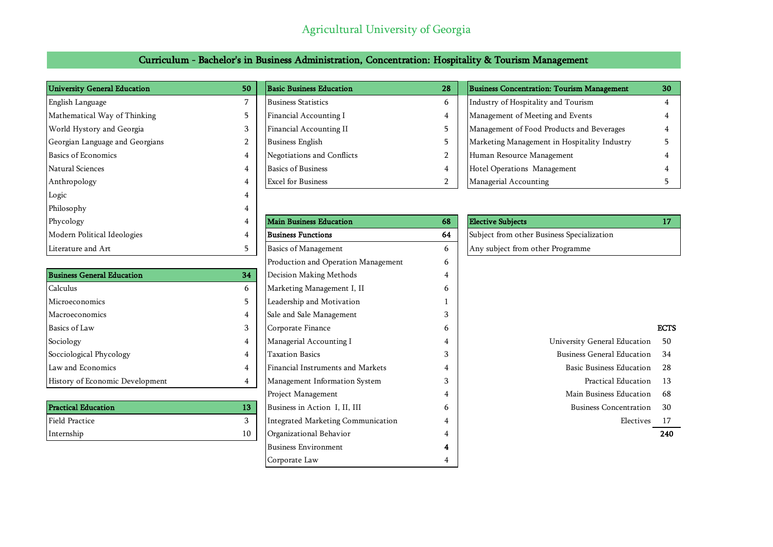## Agricultural University of Georgia

### Curriculum - Bachelor's in Business Administration, Concentration: Hospitality & Tourism Management

| <b>University General Education</b> | 50             |
|-------------------------------------|----------------|
| English Language                    | 7              |
| Mathematical Way of Thinking        | 5              |
| World Hystory and Georgia           | 3              |
| Georgian Language and Georgians     | $\overline{2}$ |
| <b>Basics of Economics</b>          | $\overline{4}$ |
| Natural Sciences                    | 4              |
| Anthropology                        | 4              |
| Logic                               | 4              |
| Philosophy                          | 4              |
| Phycology                           | 4              |
| Modern Political Ideologies         | 4              |
| Literature and Art                  | 5              |

| <b>Business General Education</b> | 34  | Decision Making Methods           | 4 |                                   |             |
|-----------------------------------|-----|-----------------------------------|---|-----------------------------------|-------------|
| Calculus                          | 6   | Marketing Management I, II        | b |                                   |             |
| Microeconomics                    |     | Leadership and Motivation         |   |                                   |             |
| Macroeconomics                    | 4   | Sale and Sale Management          | 5 |                                   |             |
| Basics of Law                     | 3   | Corporate Finance                 | b |                                   | <b>ECTS</b> |
| Sociology                         | 4   | Managerial Accounting I           | 4 | University General Education      | 50          |
| Socciological Phycology           | 4   | <b>Taxation Basics</b>            | 3 | <b>Business General Education</b> | 34          |
| Law and Economics                 | 4   | Financial Instruments and Markets | 4 | <b>Basic Business Education</b>   | -28         |
| History of Economic Development   | 4   | Management Information System     | 3 | Practical Education               | -13         |
|                                   |     | Project Management                | 4 | Main Business Education           | 68          |
| <b>Practical Education</b>        | 13. | Business in Action I, II, III     | b | <b>Business Concentration</b>     | 30          |
|                                   |     |                                   |   |                                   |             |

| <b>University General Education</b> | 50 | <b>Basic Business Education</b> | 28 | <b>Business Concentration: Tourism Management</b> | 30 |
|-------------------------------------|----|---------------------------------|----|---------------------------------------------------|----|
| English Language                    |    | <b>Business Statistics</b>      |    | Industry of Hospitality and Tourism               |    |
| Mathematical Way of Thinking        |    | Financial Accounting I          |    | Management of Meeting and Events                  |    |
| World Hystory and Georgia           |    | Financial Accounting II         |    | Management of Food Products and Beverages         |    |
| Georgian Language and Georgians     |    | <b>Business English</b>         |    | Marketing Management in Hospitality Industry      |    |
| Basics of Economics                 |    | Negotiations and Conflicts      |    | Human Resource Management                         |    |
| Natural Sciences                    |    | <b>Basics of Business</b>       |    | Hotel Operations Management                       |    |
| Anthropology                        |    | <b>Excel for Business</b>       |    | Managerial Accounting                             |    |

| Phycology                         | 4  | <b>Main Business Education</b>      | 68 | <b>Elective Subjects</b>                   | 17         |
|-----------------------------------|----|-------------------------------------|----|--------------------------------------------|------------|
| Modern Political Ideologies       | 4  | <b>Business Functions</b>           | 64 | Subject from other Business Specialization |            |
| Literature and Art                | 5. | <b>Basics of Management</b>         | 6  | Any subject from other Programme           |            |
|                                   |    | Production and Operation Management | 6  |                                            |            |
| <b>Business General Education</b> | 34 | Decision Making Methods             |    |                                            |            |
| Calculus                          | 6  | Marketing Management I, II          | h  |                                            |            |
| Microeconomics                    | 5. | Leadership and Motivation           |    |                                            |            |
| Macroeconomics                    | 4  | Sale and Sale Management            |    |                                            |            |
| Basics of Law                     | 3  | Corporate Finance                   | b  |                                            | <b>ECT</b> |
| Sociology                         | 4  | Managerial Accounting I             |    | University General Education               | -50        |
| Socciological Phycology           | 4  | <b>Taxation Basics</b>              | 3  | <b>Business General Education</b>          | 34         |
| Law and Economics                 | 4  | Financial Instruments and Markets   |    | <b>Basic Business Education</b>            | 28         |
| History of Economic Development   |    | Management Information System       | 3  | Practical Education                        | - 13       |
|                                   |    | Project Management                  |    | Main Business Education                    | -68        |
| <b>Practical Education</b>        | 13 | Business in Action I, II, III       | 6  | <b>Business Concentration</b>              | 30         |
| Field Practice                    | 3  | Integrated Marketing Communication  |    | Electives                                  | 17         |
| Internship                        | 10 | Organizational Behavior             |    |                                            | 240        |
|                                   |    | <b>Business Environment</b>         |    |                                            |            |
|                                   |    | Corporate Law                       |    |                                            |            |
|                                   |    |                                     |    |                                            |            |

| Phycology                   | <b>Main Business Education</b> | <b>Elective Subiects</b>                   |  |
|-----------------------------|--------------------------------|--------------------------------------------|--|
| Modern Political Ideologies | <b>Business Functions</b>      | Subject from other Business Specialization |  |
| Literature and Art          | <b>Basics of Management</b>    | Any subject from other Programme           |  |

- University General Education 50 Business General Education 34
	- Basic Business Education 28
		-
	- Main Business Education 68
	- -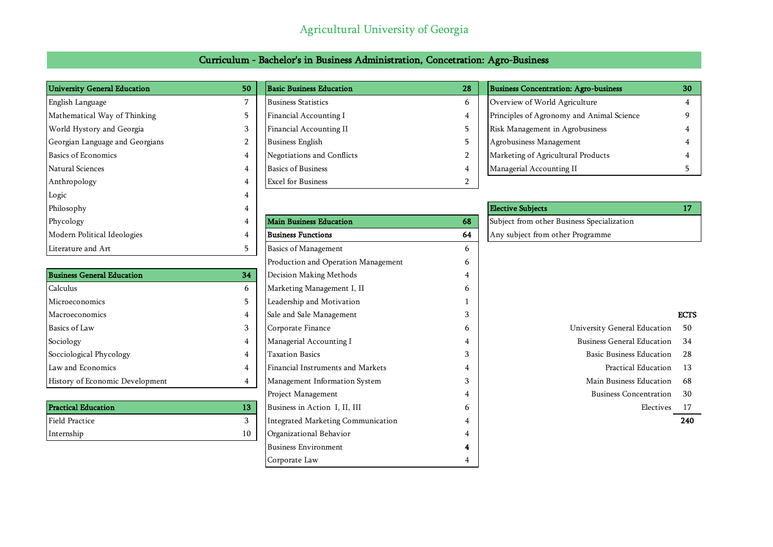### Agricultural University of Georgia

| University General Education    | 50 | <b>Basic Business Education</b> | 28       | Business Concentration: Agro-business     | 30 |
|---------------------------------|----|---------------------------------|----------|-------------------------------------------|----|
| English Language                |    | <b>Business Statistics</b>      | $\sigma$ | Overview of World Agriculture             |    |
| Mathematical Way of Thinking    |    | Financial Accounting I          |          | Principles of Agronomy and Animal Science |    |
| World Hystory and Georgia       |    | Financial Accounting II         |          | Risk Management in Agrobusiness           |    |
| Georgian Language and Georgians |    | <b>Business English</b>         |          | Agrobusiness Management                   |    |
| <b>Basics of Economics</b>      |    | Negotiations and Conflicts      |          | Marketing of Agricultural Products        |    |
| Natural Sciences                |    | <b>Basics of Business</b>       |          | Managerial Accounting II                  |    |
| Anthropology                    |    | <b>Excel for Business</b>       |          |                                           |    |

Logic 4

| Curriculum - Bachelor's in Business Administration, Concetration: Agro-Business |  |
|---------------------------------------------------------------------------------|--|
|---------------------------------------------------------------------------------|--|

| <b>FILLOSOPIIY</b>                | ÷  |                                     |    | <b>ELECLIVE SUDJECTS</b>                   | 17.         |
|-----------------------------------|----|-------------------------------------|----|--------------------------------------------|-------------|
| Phycology                         | 4  | <b>Main Business Education</b>      | 68 | Subject from other Business Specialization |             |
| Modern Political Ideologies       | 4  | <b>Business Functions</b>           | 64 | Any subject from other Programme           |             |
| Literature and Art                | 5  | <b>Basics of Management</b>         | 6  |                                            |             |
|                                   |    | Production and Operation Management | 6  |                                            |             |
| <b>Business General Education</b> | 34 | Decision Making Methods             | 4  |                                            |             |
| Calculus                          | 6  | Marketing Management I, II          | 6  |                                            |             |
| Microeconomics                    | 5  | Leadership and Motivation           |    |                                            |             |
| Macroeconomics                    | 4  | Sale and Sale Management            |    |                                            | <b>ECTS</b> |
| Basics of Law                     | 3  | Corporate Finance                   | 6  | University General Education               | 50          |
| Sociology                         | 4  | Managerial Accounting I             |    | <b>Business General Education</b>          | 34          |
| Socciological Phycology           | 4  | <b>Taxation Basics</b>              | 3  | <b>Basic Business Education</b>            | 28          |
| Law and Economics                 | 4  | Financial Instruments and Markets   | 4  | Practical Education                        | -13         |
| History of Economic Development   | 4  | Management Information System       | 3  | Main Business Education                    | 68          |
|                                   |    | Project Management                  | 4  | <b>Business Concentration</b>              | 30          |
| <b>Practical Education</b>        | 13 | Business in Action I, II, III       | 6  | Electives                                  | 17          |
| <b>Field Practice</b>             | 3  | Integrated Marketing Communication  | 4  |                                            | 240         |
| Internship                        | 10 | Organizational Behavior             | 4  |                                            |             |
|                                   |    | <b>Business Environment</b>         | 4  |                                            |             |
|                                   |    | Corporate Law                       |    |                                            |             |

| Philosophy                  |                                |    | <b>Elective Subiects</b>                   |  |
|-----------------------------|--------------------------------|----|--------------------------------------------|--|
| Phycology                   | <b>Main Business Education</b> | 68 | Subject from other Business Specialization |  |
| Modern Political Ideologies | Business Functions             | 64 | Any subject from other Programme           |  |
|                             |                                |    |                                            |  |

| University General Education      | 50 |
|-----------------------------------|----|
| <b>Business General Education</b> | 34 |
| Basic Business Education          | 28 |
| Practical Education               | 13 |
| Main Business Education           | 68 |
| <b>Business Concentration</b>     | 30 |
| Electives                         | 17 |
|                                   |    |
|                                   |    |